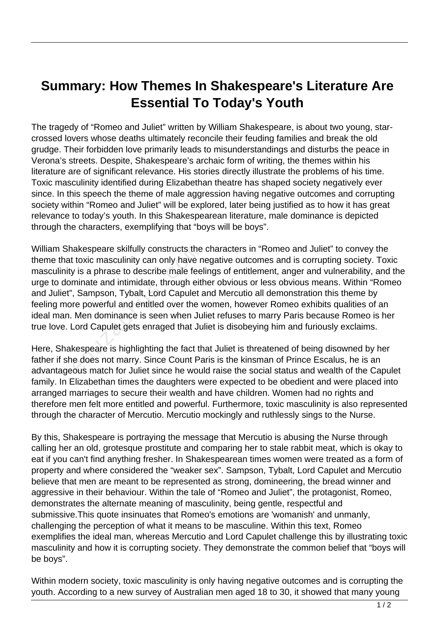## **Summary: How Themes In Shakespeare's Literature Are Essential To Today's Youth**

The tragedy of "Romeo and Juliet" written by William Shakespeare, is about two young, starcrossed lovers whose deaths ultimately reconcile their feuding families and break the old grudge. Their forbidden love primarily leads to misunderstandings and disturbs the peace in Verona's streets. Despite, Shakespeare's archaic form of writing, the themes within his literature are of significant relevance. His stories directly illustrate the problems of his time. Toxic masculinity identified during Elizabethan theatre has shaped society negatively ever since. In this speech the theme of male aggression having negative outcomes and corrupting society within "Romeo and Juliet" will be explored, later being justified as to how it has great relevance to today's youth. In this Shakespearean literature, male dominance is depicted through the characters, exemplifying that "boys will be boys".

William Shakespeare skilfully constructs the characters in "Romeo and Juliet" to convey the theme that toxic masculinity can only have negative outcomes and is corrupting society. Toxic masculinity is a phrase to describe male feelings of entitlement, anger and vulnerability, and the urge to dominate and intimidate, through either obvious or less obvious means. Within "Romeo and Juliet", Sampson, Tybalt, Lord Capulet and Mercutio all demonstration this theme by feeling more powerful and entitled over the women, however Romeo exhibits qualities of an ideal man. Men dominance is seen when Juliet refuses to marry Paris because Romeo is her true love. Lord Capulet gets enraged that Juliet is disobeying him and furiously exclaims. akespeare skilfully constructs the<br>t toxic masculinity can only have n<br>y is a phrase to describe male feel<br>minate and intimidate, through eith<br>, Sampson, Tybalt, Lord Capulet a<br>re powerful and entitled over the v<br>Men domin

Here, Shakespeare is highlighting the fact that Juliet is threatened of being disowned by her father if she does not marry. Since Count Paris is the kinsman of Prince Escalus, he is an advantageous match for Juliet since he would raise the social status and wealth of the Capulet family. In Elizabethan times the daughters were expected to be obedient and were placed into arranged marriages to secure their wealth and have children. Women had no rights and therefore men felt more entitled and powerful. Furthermore, toxic masculinity is also represented through the character of Mercutio. Mercutio mockingly and ruthlessly sings to the Nurse.

By this, Shakespeare is portraying the message that Mercutio is abusing the Nurse through calling her an old, grotesque prostitute and comparing her to stale rabbit meat, which is okay to eat if you can't find anything fresher. In Shakespearean times women were treated as a form of property and where considered the "weaker sex". Sampson, Tybalt, Lord Capulet and Mercutio believe that men are meant to be represented as strong, domineering, the bread winner and aggressive in their behaviour. Within the tale of "Romeo and Juliet", the protagonist, Romeo, demonstrates the alternate meaning of masculinity, being gentle, respectful and submissive.This quote insinuates that Romeo's emotions are 'womanish' and unmanly, challenging the perception of what it means to be masculine. Within this text, Romeo exemplifies the ideal man, whereas Mercutio and Lord Capulet challenge this by illustrating toxic masculinity and how it is corrupting society. They demonstrate the common belief that "boys will be boys".

Within modern society, toxic masculinity is only having negative outcomes and is corrupting the youth. According to a new survey of Australian men aged 18 to 30, it showed that many young